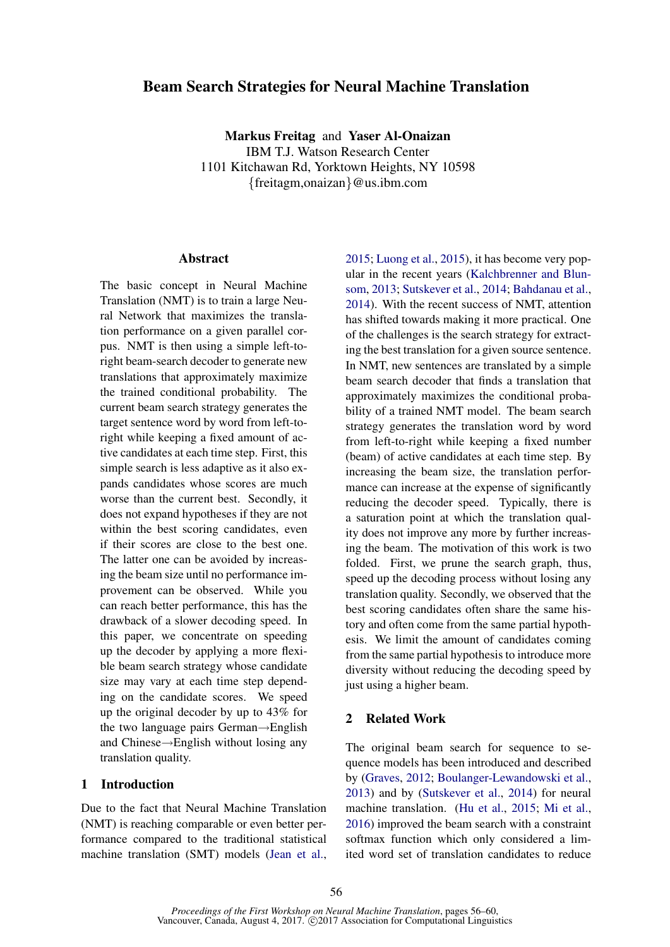# Beam Search Strategies for Neural Machine Translation

Markus Freitag and Yaser Al-Onaizan IBM T.J. Watson Research Center 1101 Kitchawan Rd, Yorktown Heights, NY 10598 {freitagm,onaizan}@us.ibm.com

#### **Abstract**

The basic concept in Neural Machine Translation (NMT) is to train a large Neural Network that maximizes the translation performance on a given parallel corpus. NMT is then using a simple left-toright beam-search decoder to generate new translations that approximately maximize the trained conditional probability. The current beam search strategy generates the target sentence word by word from left-toright while keeping a fixed amount of active candidates at each time step. First, this simple search is less adaptive as it also expands candidates whose scores are much worse than the current best. Secondly, it does not expand hypotheses if they are not within the best scoring candidates, even if their scores are close to the best one. The latter one can be avoided by increasing the beam size until no performance improvement can be observed. While you can reach better performance, this has the drawback of a slower decoding speed. In this paper, we concentrate on speeding up the decoder by applying a more flexible beam search strategy whose candidate size may vary at each time step depending on the candidate scores. We speed up the original decoder by up to 43% for the two language pairs German→English and Chinese→English without losing any translation quality.

# 1 Introduction

Due to the fact that Neural Machine Translation (NMT) is reaching comparable or even better performance compared to the traditional statistical machine translation (SMT) models (Jean et al.,

2015; Luong et al., 2015), it has become very popular in the recent years (Kalchbrenner and Blunsom, 2013; Sutskever et al., 2014; Bahdanau et al., 2014). With the recent success of NMT, attention has shifted towards making it more practical. One of the challenges is the search strategy for extracting the best translation for a given source sentence. In NMT, new sentences are translated by a simple beam search decoder that finds a translation that approximately maximizes the conditional probability of a trained NMT model. The beam search strategy generates the translation word by word from left-to-right while keeping a fixed number (beam) of active candidates at each time step. By increasing the beam size, the translation performance can increase at the expense of significantly reducing the decoder speed. Typically, there is a saturation point at which the translation quality does not improve any more by further increasing the beam. The motivation of this work is two folded. First, we prune the search graph, thus, speed up the decoding process without losing any translation quality. Secondly, we observed that the best scoring candidates often share the same history and often come from the same partial hypothesis. We limit the amount of candidates coming from the same partial hypothesis to introduce more diversity without reducing the decoding speed by just using a higher beam.

# 2 Related Work

The original beam search for sequence to sequence models has been introduced and described by (Graves, 2012; Boulanger-Lewandowski et al., 2013) and by (Sutskever et al., 2014) for neural machine translation. (Hu et al., 2015; Mi et al., 2016) improved the beam search with a constraint softmax function which only considered a limited word set of translation candidates to reduce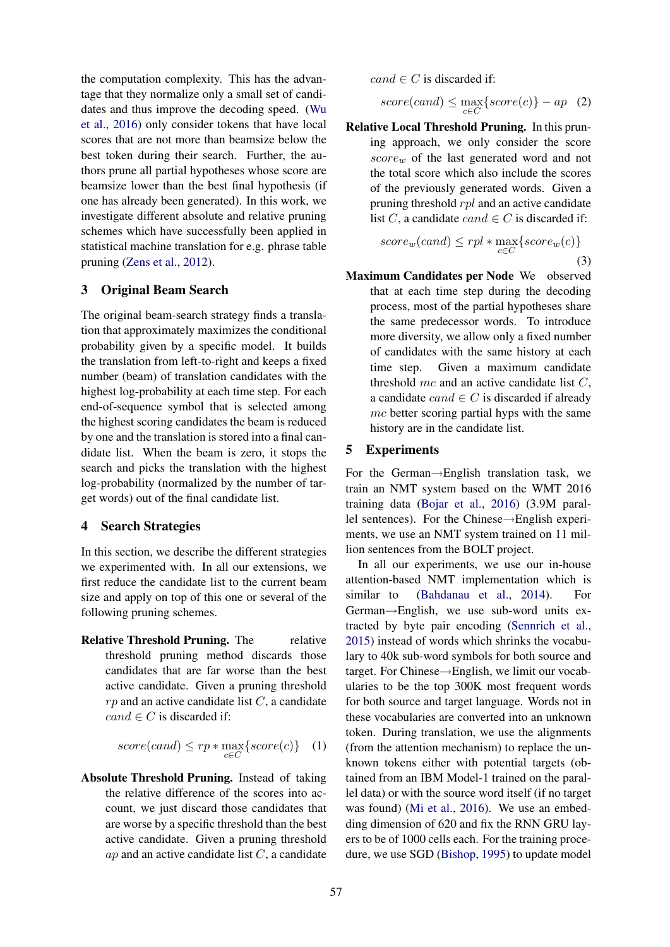the computation complexity. This has the advantage that they normalize only a small set of candidates and thus improve the decoding speed. (Wu et al., 2016) only consider tokens that have local scores that are not more than beamsize below the best token during their search. Further, the authors prune all partial hypotheses whose score are beamsize lower than the best final hypothesis (if one has already been generated). In this work, we investigate different absolute and relative pruning schemes which have successfully been applied in statistical machine translation for e.g. phrase table pruning (Zens et al., 2012).

### 3 Original Beam Search

The original beam-search strategy finds a translation that approximately maximizes the conditional probability given by a specific model. It builds the translation from left-to-right and keeps a fixed number (beam) of translation candidates with the highest log-probability at each time step. For each end-of-sequence symbol that is selected among the highest scoring candidates the beam is reduced by one and the translation is stored into a final candidate list. When the beam is zero, it stops the search and picks the translation with the highest log-probability (normalized by the number of target words) out of the final candidate list.

#### 4 Search Strategies

In this section, we describe the different strategies we experimented with. In all our extensions, we first reduce the candidate list to the current beam size and apply on top of this one or several of the following pruning schemes.

Relative Threshold Pruning. The relative threshold pruning method discards those candidates that are far worse than the best active candidate. Given a pruning threshold  $rp$  and an active candidate list  $C$ , a candidate  $cand \in C$  is discarded if:

$$
score(cand) \le rp * \max_{c \in C} \{score(c)\} \quad (1)
$$

Absolute Threshold Pruning. Instead of taking the relative difference of the scores into account, we just discard those candidates that are worse by a specific threshold than the best active candidate. Given a pruning threshold  $ap$  and an active candidate list  $C$ , a candidate  $cand \in C$  is discarded if:

$$
score(cand) \le \max_{c \in C} \{score(c)\} - ap \quad (2)
$$

Relative Local Threshold Pruning. In this pruning approach, we only consider the score  $score_w$  of the last generated word and not the total score which also include the scores of the previously generated words. Given a pruning threshold rpl and an active candidate list C, a candidate cand  $\in C$  is discarded if:

$$
score_w(cand) \leq rpl * \max_{c \in C} \{score_w(c)\}
$$
\n(3)

Maximum Candidates per Node We observed that at each time step during the decoding process, most of the partial hypotheses share the same predecessor words. To introduce more diversity, we allow only a fixed number of candidates with the same history at each time step. Given a maximum candidate threshold  $mc$  and an active candidate list  $C$ . a candidate  $cand \in C$  is discarded if already mc better scoring partial hyps with the same history are in the candidate list.

#### 5 Experiments

For the German→English translation task, we train an NMT system based on the WMT 2016 training data (Bojar et al., 2016) (3.9M parallel sentences). For the Chinese→English experiments, we use an NMT system trained on 11 million sentences from the BOLT project.

In all our experiments, we use our in-house attention-based NMT implementation which is similar to (Bahdanau et al., 2014). For German→English, we use sub-word units extracted by byte pair encoding (Sennrich et al., 2015) instead of words which shrinks the vocabulary to 40k sub-word symbols for both source and target. For Chinese→English, we limit our vocabularies to be the top 300K most frequent words for both source and target language. Words not in these vocabularies are converted into an unknown token. During translation, we use the alignments (from the attention mechanism) to replace the unknown tokens either with potential targets (obtained from an IBM Model-1 trained on the parallel data) or with the source word itself (if no target was found) (Mi et al., 2016). We use an embedding dimension of 620 and fix the RNN GRU layers to be of 1000 cells each. For the training procedure, we use SGD (Bishop, 1995) to update model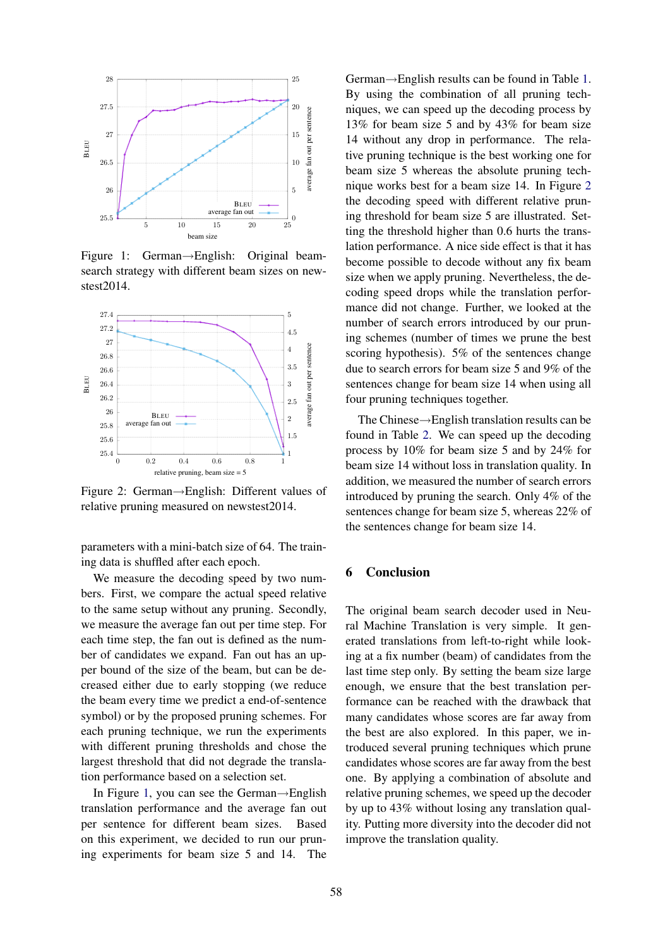

Figure 1: German→English: Original beamsearch strategy with different beam sizes on newstest2014.



Figure 2: German→English: Different values of relative pruning measured on newstest2014.

parameters with a mini-batch size of 64. The training data is shuffled after each epoch.

We measure the decoding speed by two numbers. First, we compare the actual speed relative to the same setup without any pruning. Secondly, we measure the average fan out per time step. For each time step, the fan out is defined as the number of candidates we expand. Fan out has an upper bound of the size of the beam, but can be decreased either due to early stopping (we reduce the beam every time we predict a end-of-sentence symbol) or by the proposed pruning schemes. For each pruning technique, we run the experiments with different pruning thresholds and chose the largest threshold that did not degrade the translation performance based on a selection set.

In Figure 1, you can see the German→English translation performance and the average fan out per sentence for different beam sizes. Based on this experiment, we decided to run our pruning experiments for beam size 5 and 14. The German→English results can be found in Table 1. By using the combination of all pruning techniques, we can speed up the decoding process by 13% for beam size 5 and by 43% for beam size 14 without any drop in performance. The relative pruning technique is the best working one for beam size 5 whereas the absolute pruning technique works best for a beam size 14. In Figure 2 the decoding speed with different relative pruning threshold for beam size 5 are illustrated. Setting the threshold higher than 0.6 hurts the translation performance. A nice side effect is that it has become possible to decode without any fix beam size when we apply pruning. Nevertheless, the decoding speed drops while the translation performance did not change. Further, we looked at the number of search errors introduced by our pruning schemes (number of times we prune the best scoring hypothesis). 5% of the sentences change due to search errors for beam size 5 and 9% of the sentences change for beam size 14 when using all four pruning techniques together.

The Chinese→English translation results can be found in Table 2. We can speed up the decoding process by 10% for beam size 5 and by 24% for beam size 14 without loss in translation quality. In addition, we measured the number of search errors introduced by pruning the search. Only 4% of the sentences change for beam size 5, whereas 22% of the sentences change for beam size 14.

# 6 Conclusion

The original beam search decoder used in Neural Machine Translation is very simple. It generated translations from left-to-right while looking at a fix number (beam) of candidates from the last time step only. By setting the beam size large enough, we ensure that the best translation performance can be reached with the drawback that many candidates whose scores are far away from the best are also explored. In this paper, we introduced several pruning techniques which prune candidates whose scores are far away from the best one. By applying a combination of absolute and relative pruning schemes, we speed up the decoder by up to 43% without losing any translation quality. Putting more diversity into the decoder did not improve the translation quality.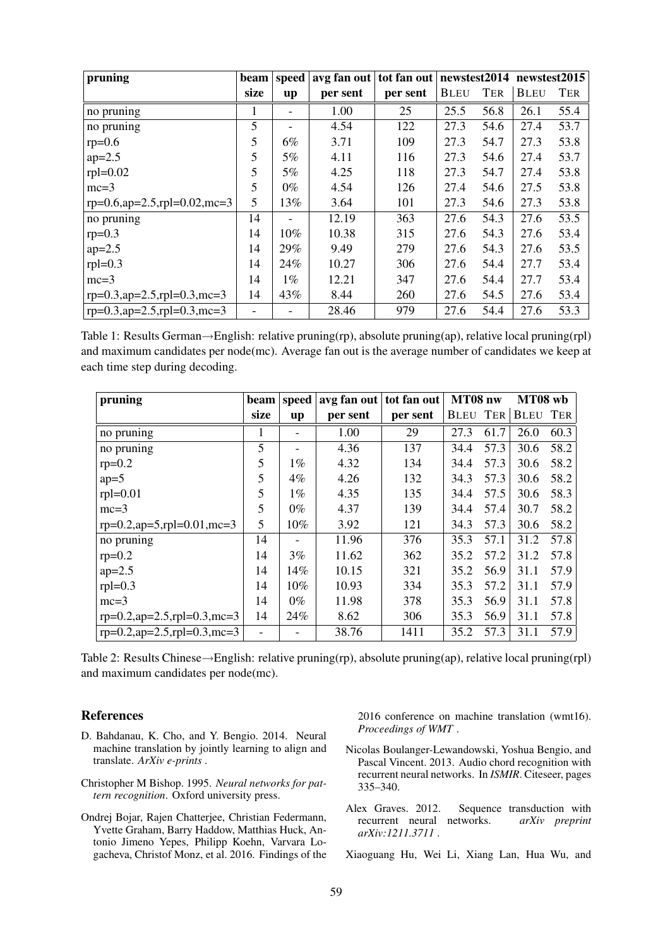| pruning                          | beam                     | speed | avg fan out | tot fan out | newstest2014 |            | newstest2015 |      |
|----------------------------------|--------------------------|-------|-------------|-------------|--------------|------------|--------------|------|
|                                  | size                     | up    | per sent    | per sent    | <b>BLEU</b>  | <b>TER</b> | <b>BLEU</b>  | TER  |
| no pruning                       | 1                        |       | 1.00        | 25          | 25.5         | 56.8       | 26.1         | 55.4 |
| no pruning                       | 5                        |       | 4.54        | 122         | 27.3         | 54.6       | 27.4         | 53.7 |
| $rp=0.6$                         | 5                        | $6\%$ | 3.71        | 109         | 27.3         | 54.7       | 27.3         | 53.8 |
| $ap = 2.5$                       | 5                        | 5%    | 4.11        | 116         | 27.3         | 54.6       | 27.4         | 53.7 |
| $rpl=0.02$                       | 5                        | 5%    | 4.25        | 118         | 27.3         | 54.7       | 27.4         | 53.8 |
| $mc=3$                           | 5                        | $0\%$ | 4.54        | 126         | 27.4         | 54.6       | 27.5         | 53.8 |
| rp=0.6,ap=2.5,rpl=0.02,mc=3      | 5                        | 13%   | 3.64        | 101         | 27.3         | 54.6       | 27.3         | 53.8 |
| no pruning                       | 14                       |       | 12.19       | 363         | 27.6         | 54.3       | 27.6         | 53.5 |
| $rp=0.3$                         | 14                       | 10%   | 10.38       | 315         | 27.6         | 54.3       | 27.6         | 53.4 |
| $ap = 2.5$                       | 14                       | 29%   | 9.49        | 279         | 27.6         | 54.3       | 27.6         | 53.5 |
| $rpl=0.3$                        | 14                       | 24%   | 10.27       | 306         | 27.6         | 54.4       | 27.7         | 53.4 |
| $mc=3$                           | 14                       | $1\%$ | 12.21       | 347         | 27.6         | 54.4       | 27.7         | 53.4 |
| $rp=0.3$ , ap=2.5, rpl=0.3, mc=3 | 14                       | 43%   | 8.44        | 260         | 27.6         | 54.5       | 27.6         | 53.4 |
| $rp=0.3$ , ap=2.5, rpl=0.3, mc=3 | $\overline{\phantom{a}}$ |       | 28.46       | 979         | 27.6         | 54.4       | 27.6         | 53.3 |

Table 1: Results German→English: relative pruning(rp), absolute pruning(ap), relative local pruning(rpl) and maximum candidates per node(mc). Average fan out is the average number of candidates we keep at each time step during decoding.

| pruning                                  | beam | speed | avg fan out | tot fan out | MT08 nw     |      | MT08 wb     |      |
|------------------------------------------|------|-------|-------------|-------------|-------------|------|-------------|------|
|                                          | size | up    | per sent    | per sent    | <b>BLEU</b> | TER  | <b>BLEU</b> | TER  |
| no pruning                               | 1    |       | 1.00        | 29          | 27.3        | 61.7 | 26.0        | 60.3 |
| no pruning                               | 5    |       | 4.36        | 137         | 34.4        | 57.3 | 30.6        | 58.2 |
| $rp=0.2$                                 | 5    | $1\%$ | 4.32        | 134         | 34.4        | 57.3 | 30.6        | 58.2 |
| $ap=5$                                   | 5    | $4\%$ | 4.26        | 132         | 34.3        | 57.3 | 30.6        | 58.2 |
| $rpl=0.01$                               | 5    | $1\%$ | 4.35        | 135         | 34.4        | 57.5 | 30.6        | 58.3 |
| $mc=3$                                   | 5    | $0\%$ | 4.37        | 139         | 34.4        | 57.4 | 30.7        | 58.2 |
| $rp=0.2$ , $ap=5$ , $rpl=0.01$ , $mc=3$  | 5    | 10%   | 3.92        | 121         | 34.3        | 57.3 | 30.6        | 58.2 |
| no pruning                               | 14   |       | 11.96       | 376         | 35.3        | 57.1 | 31.2        | 57.8 |
| $rp=0.2$                                 | 14   | 3%    | 11.62       | 362         | 35.2        | 57.2 | 31.2        | 57.8 |
| $ap = 2.5$                               | 14   | 14%   | 10.15       | 321         | 35.2        | 56.9 | 31.1        | 57.9 |
| $rpl=0.3$                                | 14   | 10%   | 10.93       | 334         | 35.3        | 57.2 | 31.1        | 57.9 |
| $mc=3$                                   | 14   | $0\%$ | 11.98       | 378         | 35.3        | 56.9 | 31.1        | 57.8 |
| $rp=0.2$ , $ap=2.5$ , $rpl=0.3$ , $mc=3$ | 14   | 24%   | 8.62        | 306         | 35.3        | 56.9 | 31.1        | 57.8 |
| $rp=0.2$ , $ap=2.5$ , $rpl=0.3$ , $mc=3$ |      |       | 38.76       | 1411        | 35.2        | 57.3 | 31.1        | 57.9 |

Table 2: Results Chinese→English: relative pruning(rp), absolute pruning(ap), relative local pruning(rpl) and maximum candidates per node(mc).

#### References

- D. Bahdanau, K. Cho, and Y. Bengio. 2014. Neural machine translation by jointly learning to align and translate. *ArXiv e-prints* .
- Christopher M Bishop. 1995. *Neural networks for pattern recognition*. Oxford university press.
- Ondrej Bojar, Rajen Chatterjee, Christian Federmann, Yvette Graham, Barry Haddow, Matthias Huck, Antonio Jimeno Yepes, Philipp Koehn, Varvara Logacheva, Christof Monz, et al. 2016. Findings of the

2016 conference on machine translation (wmt16). *Proceedings of WMT* .

- Nicolas Boulanger-Lewandowski, Yoshua Bengio, and Pascal Vincent. 2013. Audio chord recognition with recurrent neural networks. In *ISMIR*. Citeseer, pages 335–340.
- Alex Graves. 2012. Sequence transduction with recurrent neural networks. *arXiv preprint arXiv:1211.3711* .
- Xiaoguang Hu, Wei Li, Xiang Lan, Hua Wu, and